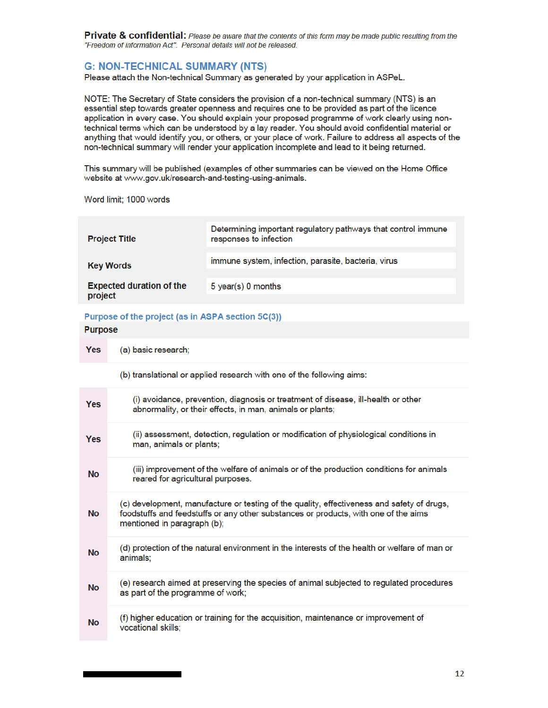Private & confidential: Please be aware that the contents of this form may be made public resulting from the "Freedom of information Act". Personal details will not be released.

# **G: NON-TECHNICAL SUMMARY (NTS)**

Please attach the Non-technical Summary as generated by your application in ASPeL.

NOTE: The Secretary of State considers the provision of a non-technical summary (NTS) is an essential step towards greater openness and requires one to be provided as part of the licence application in every case. You should explain your proposed programme of work clearly using nontechnical terms which can be understood by a lay reader. You should avoid confidential material or anything that would identify you, or others, or your place of work. Failure to address all aspects of the non-technical summary will render your application incomplete and lead to it being returned.

This summary will be published (examples of other summaries can be viewed on the Home Office website at www.gov.uk/research-and-testing-using-animals.

Word limit; 1000 words

| <b>Project Title</b>                       | Determining important regulatory pathways that control immune<br>responses to infection |
|--------------------------------------------|-----------------------------------------------------------------------------------------|
| <b>Key Words</b>                           | immune system, infection, parasite, bacteria, virus                                     |
| <b>Expected duration of the</b><br>project | 5 year(s) 0 months                                                                      |

# Purpose of the project (as in ASPA section 5C(3))

# **Purpose**

**Yes** (a) basic research;

(b) translational or applied research with one of the following aims:

| <b>Yes</b> | (i) avoidance, prevention, diagnosis or treatment of disease, ill-health or other<br>abnormality, or their effects, in man, animals or plants;                                                                   |
|------------|------------------------------------------------------------------------------------------------------------------------------------------------------------------------------------------------------------------|
| <b>Yes</b> | (ii) assessment, detection, regulation or modification of physiological conditions in<br>man, animals or plants;                                                                                                 |
| <b>No</b>  | (iii) improvement of the welfare of animals or of the production conditions for animals<br>reared for agricultural purposes.                                                                                     |
| <b>No</b>  | (c) development, manufacture or testing of the quality, effectiveness and safety of drugs,<br>foodstuffs and feedstuffs or any other substances or products, with one of the aims<br>mentioned in paragraph (b); |
| <b>No</b>  | (d) protection of the natural environment in the interests of the health or welfare of man or<br>animals;                                                                                                        |
| <b>No</b>  | (e) research aimed at preserving the species of animal subjected to regulated procedures<br>as part of the programme of work;                                                                                    |
| <b>No</b>  | (f) higher education or training for the acquisition, maintenance or improvement of<br>vocational skills;                                                                                                        |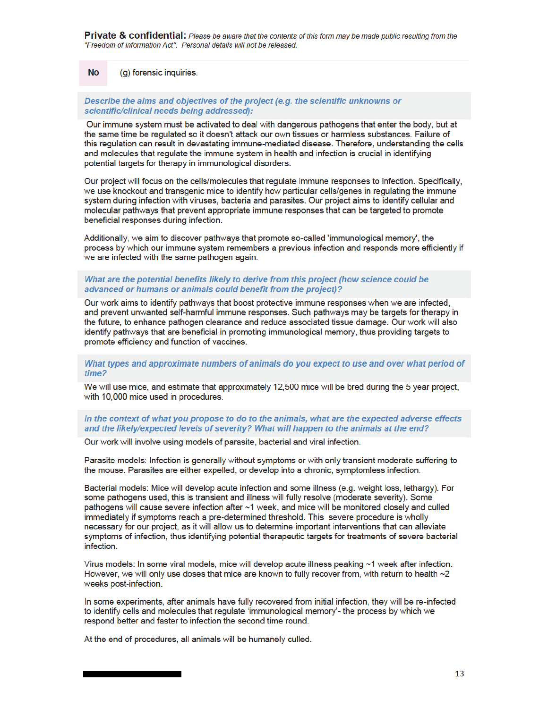**Private & confidential:** Please be aware that the contents of this form may be made public resulting from the "Freedom of information Act". Personal details will not be released.

#### **No** (g) forensic inquiries.

#### Describe the aims and objectives of the project (e.g. the scientific unknowns or scientific/clinical needs being addressed):

Our immune system must be activated to deal with dangerous pathogens that enter the body, but at the same time be regulated so it doesn't attack our own tissues or harmless substances. Failure of this regulation can result in devastating immune-mediated disease. Therefore, understanding the cells and molecules that regulate the immune system in health and infection is crucial in identifying potential targets for therapy in immunological disorders.

Our project will focus on the cells/molecules that regulate immune responses to infection. Specifically, we use knockout and transgenic mice to identify how particular cells/genes in regulating the immune system during infection with viruses, bacteria and parasites. Our project aims to identify cellular and molecular pathways that prevent appropriate immune responses that can be targeted to promote beneficial responses during infection.

Additionally, we aim to discover pathways that promote so-called 'immunological memory', the process by which our immune system remembers a previous infection and responds more efficiently if we are infected with the same pathogen again.

### What are the potential benefits likely to derive from this project (how science could be advanced or humans or animals could benefit from the project)?

Our work aims to identify pathways that boost protective immune responses when we are infected. and prevent unwanted self-harmful immune responses. Such pathways may be targets for therapy in the future, to enhance pathogen clearance and reduce associated tissue damage. Our work will also identify pathways that are beneficial in promoting immunological memory, thus providing targets to promote efficiency and function of vaccines.

# What types and approximate numbers of animals do you expect to use and over what period of time?

We will use mice, and estimate that approximately 12,500 mice will be bred during the 5 year project, with 10,000 mice used in procedures.

# In the context of what you propose to do to the animals, what are the expected adverse effects and the likely/expected levels of severity? What will happen to the animals at the end?

Our work will involve using models of parasite, bacterial and viral infection.

Parasite models: Infection is generally without symptoms or with only transient moderate suffering to the mouse. Parasites are either expelled, or develop into a chronic, symptomless infection.

Bacterial models: Mice will develop acute infection and some illness (e.g. weight loss, lethargy). For some pathogens used, this is transient and illness will fully resolve (moderate severity). Some pathogens will cause severe infection after ~1 week, and mice will be monitored closely and culled immediately if symptoms reach a pre-determined threshold. This severe procedure is wholly necessary for our project, as it will allow us to determine important interventions that can alleviate symptoms of infection, thus identifying potential therapeutic targets for treatments of severe bacterial infection.

Virus models: In some viral models, mice will develop acute illness peaking ~1 week after infection. However, we will only use doses that mice are known to fully recover from, with return to health  $\sim$ 2 weeks post-infection.

In some experiments, after animals have fully recovered from initial infection, they will be re-infected to identify cells and molecules that regulate 'immunological memory'- the process by which we respond better and faster to infection the second time round.

At the end of procedures, all animals will be humanely culled.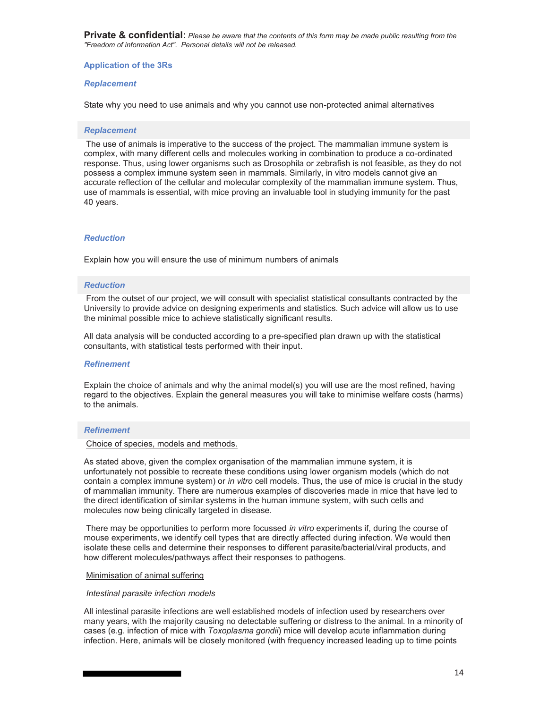**Private & confidential:** *Please be aware that the contents of this form may be made public resulting from the "Freedom of information Act". Personal details will not be released.* 

# **Application of the 3Rs**

# *Replacement*

State why you need to use animals and why you cannot use non-protected animal alternatives

#### *Replacement*

 The use of animals is imperative to the success of the project. The mammalian immune system is complex, with many different cells and molecules working in combination to produce a co-ordinated response. Thus, using lower organisms such as Drosophila or zebrafish is not feasible, as they do not possess a complex immune system seen in mammals. Similarly, in vitro models cannot give an accurate reflection of the cellular and molecular complexity of the mammalian immune system. Thus, use of mammals is essential, with mice proving an invaluable tool in studying immunity for the past 40 years.

# *Reduction*

Explain how you will ensure the use of minimum numbers of animals

#### *Reduction*

 From the outset of our project, we will consult with specialist statistical consultants contracted by the University to provide advice on designing experiments and statistics. Such advice will allow us to use the minimal possible mice to achieve statistically significant results.

All data analysis will be conducted according to a pre-specified plan drawn up with the statistical consultants, with statistical tests performed with their input.

# *Refinement*

Explain the choice of animals and why the animal model(s) you will use are the most refined, having regard to the objectives. Explain the general measures you will take to minimise welfare costs (harms) to the animals.

#### *Refinement*

# Choice of species, models and methods.

As stated above, given the complex organisation of the mammalian immune system, it is unfortunately not possible to recreate these conditions using lower organism models (which do not contain a complex immune system) or *in vitro* cell models. Thus, the use of mice is crucial in the study of mammalian immunity. There are numerous examples of discoveries made in mice that have led to the direct identification of similar systems in the human immune system, with such cells and molecules now being clinically targeted in disease.

 There may be opportunities to perform more focussed *in vitro* experiments if, during the course of mouse experiments, we identify cell types that are directly affected during infection. We would then isolate these cells and determine their responses to different parasite/bacterial/viral products, and how different molecules/pathways affect their responses to pathogens.

#### Minimisation of animal suffering

#### *Intestinal parasite infection models*

All intestinal parasite infections are well established models of infection used by researchers over many years, with the majority causing no detectable suffering or distress to the animal. In a minority of cases (e.g. infection of mice with *Toxoplasma gondii*) mice will develop acute inflammation during infection. Here, animals will be closely monitored (with frequency increased leading up to time points